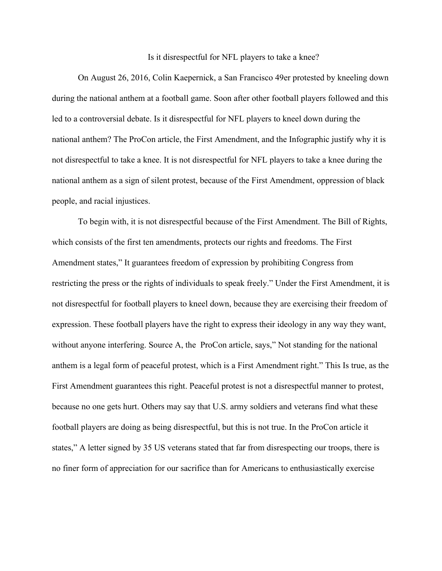## Is it disrespectful for NFL players to take a knee?

On August 26, 2016, Colin Kaepernick, a San Francisco 49er protested by kneeling down during the national anthem at a football game. Soon after other football players followed and this led to a controversial debate. Is it disrespectful for NFL players to kneel down during the national anthem? The ProCon article, the First Amendment, and the Infographic justify why it is not disrespectful to take a knee. It is not disrespectful for NFL players to take a knee during the national anthem as a sign of silent protest, because of the First Amendment, oppression of black people, and racial injustices.

To begin with, it is not disrespectful because of the First Amendment. The Bill of Rights, which consists of the first ten amendments, protects our rights and freedoms. The First Amendment states," It guarantees freedom of expression by prohibiting Congress from restricting the press or the rights of individuals to speak freely." Under the First Amendment, it is not disrespectful for football players to kneel down, because they are exercising their freedom of expression. These football players have the right to express their ideology in any way they want, without anyone interfering. Source A, the ProCon article, says," Not standing for the national anthem is a legal form of peaceful protest, which is a First Amendment right." This Is true, as the First Amendment guarantees this right. Peaceful protest is not a disrespectful manner to protest, because no one gets hurt. Others may say that U.S. army soldiers and veterans find what these football players are doing as being disrespectful, but this is not true. In the ProCon article it states," A letter signed by 35 US veterans stated that far from disrespecting our troops, there is no finer form of appreciation for our sacrifice than for Americans to enthusiastically exercise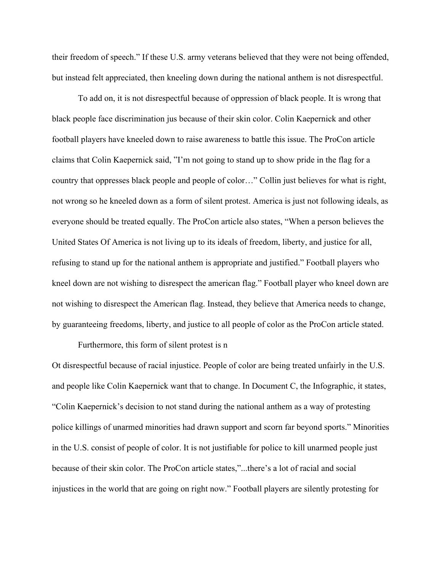their freedom of speech." If these U.S. army veterans believed that they were not being offended, but instead felt appreciated, then kneeling down during the national anthem is not disrespectful.

To add on, it is not disrespectful because of oppression of black people. It is wrong that black people face discrimination jus because of their skin color. Colin Kaepernick and other football players have kneeled down to raise awareness to battle this issue. The ProCon article claims that Colin Kaepernick said, "I'm not going to stand up to show pride in the flag for a country that oppresses black people and people of color…" Collin just believes for what is right, not wrong so he kneeled down as a form of silent protest. America is just not following ideals, as everyone should be treated equally. The ProCon article also states, "When a person believes the United States Of America is not living up to its ideals of freedom, liberty, and justice for all, refusing to stand up for the national anthem is appropriate and justified." Football players who kneel down are not wishing to disrespect the american flag." Football player who kneel down are not wishing to disrespect the American flag. Instead, they believe that America needs to change, by guaranteeing freedoms, liberty, and justice to all people of color as the ProCon article stated.

Furthermore, this form of silent protest is n

Ot disrespectful because of racial injustice. People of color are being treated unfairly in the U.S. and people like Colin Kaepernick want that to change. In Document C, the Infographic, it states, "Colin Kaepernick's decision to not stand during the national anthem as a way of protesting police killings of unarmed minorities had drawn support and scorn far beyond sports." Minorities in the U.S. consist of people of color. It is not justifiable for police to kill unarmed people just because of their skin color. The ProCon article states,"...there's a lot of racial and social injustices in the world that are going on right now." Football players are silently protesting for